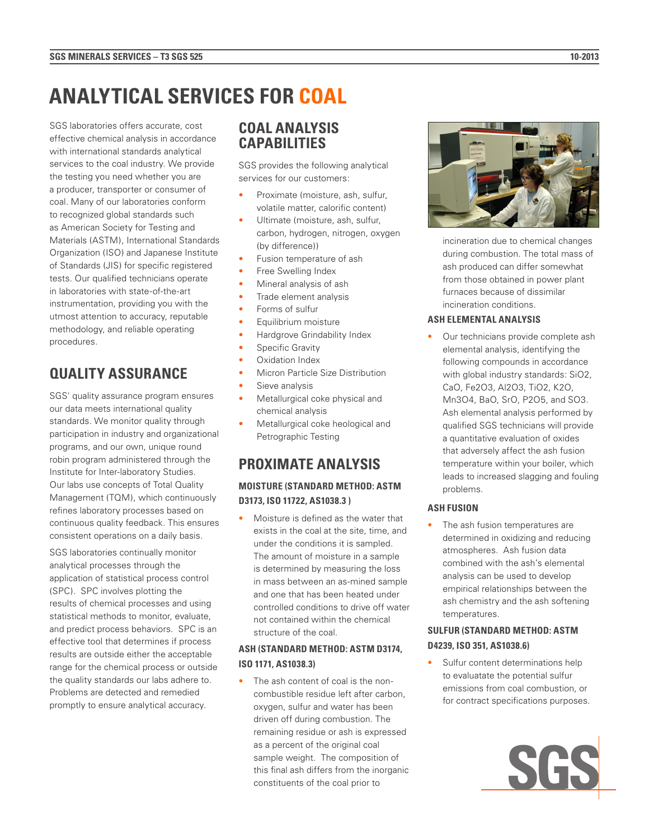# **ANALYTICAL SERVICES FOR COAL**

SGS laboratories offers accurate, cost effective chemical analysis in accordance with international standards analytical services to the coal industry. We provide the testing you need whether you are a producer, transporter or consumer of coal. Many of our laboratories conform to recognized global standards such as American Society for Testing and Materials (ASTM), International Standards Organization (ISO) and Japanese Institute of Standards (JIS) for specific registered tests. Our qualified technicians operate in laboratories with state-of-the-art instrumentation, providing you with the utmost attention to accuracy, reputable methodology, and reliable operating procedures.

# **QUALITY ASSURANCE**

SGS' quality assurance program ensures our data meets international quality standards. We monitor quality through participation in industry and organizational programs, and our own, unique round robin program administered through the Institute for Inter-laboratory Studies. Our labs use concepts of Total Quality Management (TQM), which continuously refines laboratory processes based on continuous quality feedback. This ensures consistent operations on a daily basis.

SGS laboratories continually monitor analytical processes through the application of statistical process control (SPC). SPC involves plotting the results of chemical processes and using statistical methods to monitor, evaluate, and predict process behaviors. SPC is an effective tool that determines if process results are outside either the acceptable range for the chemical process or outside the quality standards our labs adhere to. Problems are detected and remedied promptly to ensure analytical accuracy.

## **COAL ANALYSIS CAPABILITIES**

SGS provides the following analytical services for our customers:

- Proximate (moisture, ash, sulfur, volatile matter, calorific content)
- Ultimate (moisture, ash, sulfur, carbon, hydrogen, nitrogen, oxygen (by difference))
- Fusion temperature of ash
- Free Swelling Index
- Mineral analysis of ash
- Trade element analysis
- Forms of sulfur
- Equilibrium moisture
- Hardgrove Grindability Index
- Specific Gravity
- Oxidation Index
- Micron Particle Size Distribution
- Sieve analysis
- Metallurgical coke physical and chemical analysis
- Metallurgical coke heological and Petrographic Testing

## **PROXIMATE ANALYSIS**

## **MOISTURE (STANDARD METHOD: ASTM D3173, ISO 11722, AS1038.3 )**

• Moisture is defined as the water that exists in the coal at the site, time, and under the conditions it is sampled. The amount of moisture in a sample is determined by measuring the loss in mass between an as-mined sample and one that has been heated under controlled conditions to drive off water not contained within the chemical structure of the coal.

#### **ASH (STANDARD METHOD: ASTM D3174, ISO 1171, AS1038.3)**

• The ash content of coal is the noncombustible residue left after carbon, oxygen, sulfur and water has been driven off during combustion. The remaining residue or ash is expressed as a percent of the original coal sample weight. The composition of this final ash differs from the inorganic constituents of the coal prior to



incineration due to chemical changes during combustion. The total mass of ash produced can differ somewhat from those obtained in power plant furnaces because of dissimilar incineration conditions.

#### **ASH ELEMENTAL ANALYSIS**

Our technicians provide complete ash elemental analysis, identifying the following compounds in accordance with global industry standards: SiO2, CaO, Fe2O3, Al2O3, TiO2, K2O, Mn3O4, BaO, SrO, P2O5, and SO3. Ash elemental analysis performed by qualified SGS technicians will provide a quantitative evaluation of oxides that adversely affect the ash fusion temperature within your boiler, which leads to increased slagging and fouling problems.

#### **ASH FUSION**

• The ash fusion temperatures are determined in oxidizing and reducing atmospheres. Ash fusion data combined with the ash's elemental analysis can be used to develop empirical relationships between the ash chemistry and the ash softening temperatures.

## **SULFUR (STANDARD METHOD: ASTM D4239, ISO 351, AS1038.6)**

Sulfur content determinations help to evaluatate the potential sulfur emissions from coal combustion, or for contract specifications purposes.